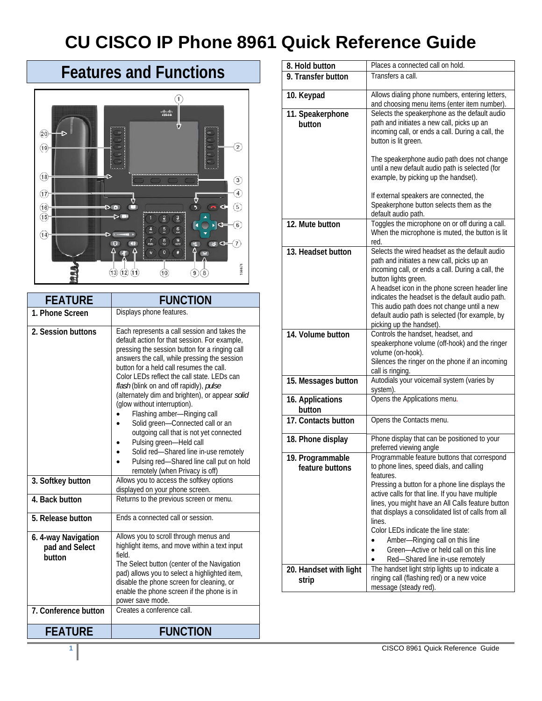# **CU CISCO IP Phone 8961 Quick Reference Guide**

# **Features and Functions**



| <b>FEATURE</b>                                                          | <b>FUNCTION</b>                                                                                                                                                                                                                                                                                                                                                                                                                                                                                                                                                                                                                                                                          |  |  |
|-------------------------------------------------------------------------|------------------------------------------------------------------------------------------------------------------------------------------------------------------------------------------------------------------------------------------------------------------------------------------------------------------------------------------------------------------------------------------------------------------------------------------------------------------------------------------------------------------------------------------------------------------------------------------------------------------------------------------------------------------------------------------|--|--|
| 1. Phone Screen                                                         | Displays phone features.                                                                                                                                                                                                                                                                                                                                                                                                                                                                                                                                                                                                                                                                 |  |  |
| 2. Session buttons                                                      | Each represents a call session and takes the<br>default action for that session. For example,<br>pressing the session button for a ringing call<br>answers the call, while pressing the session<br>button for a held call resumes the call.<br>Color LEDs reflect the call state. LEDs can<br>flash (blink on and off rapidly), pulse<br>(alternately dim and brighten), or appear solid<br>(glow without interruption).<br>Flashing amber-Ringing call<br>Solid green-Connected call or an<br>outgoing call that is not yet connected<br>Pulsing green-Held call<br>Solid red-Shared line in-use remotely<br>Pulsing red-Shared line call put on hold<br>remotely (when Privacy is off) |  |  |
| 3. Softkey button                                                       | Allows you to access the softkey options<br>displayed on your phone screen.                                                                                                                                                                                                                                                                                                                                                                                                                                                                                                                                                                                                              |  |  |
| 4. Back button                                                          | Returns to the previous screen or menu.                                                                                                                                                                                                                                                                                                                                                                                                                                                                                                                                                                                                                                                  |  |  |
| 5. Release button                                                       | Ends a connected call or session.                                                                                                                                                                                                                                                                                                                                                                                                                                                                                                                                                                                                                                                        |  |  |
| 6. 4-way Navigation<br>pad and Select<br>button<br>7. Conference button | Allows you to scroll through menus and<br>highlight items, and move within a text input<br>field.<br>The Select button (center of the Navigation<br>pad) allows you to select a highlighted item,<br>disable the phone screen for cleaning, or<br>enable the phone screen if the phone is in<br>power save mode.<br>Creates a conference call.                                                                                                                                                                                                                                                                                                                                           |  |  |
| <b>FEATURE</b>                                                          | <b>FUNCTION</b>                                                                                                                                                                                                                                                                                                                                                                                                                                                                                                                                                                                                                                                                          |  |  |

| 8. Hold button                  | Places a connected call on hold.                                                                    |  |  |  |
|---------------------------------|-----------------------------------------------------------------------------------------------------|--|--|--|
| 9. Transfer button              | Transfers a call.                                                                                   |  |  |  |
|                                 |                                                                                                     |  |  |  |
| 10. Keypad                      | Allows dialing phone numbers, entering letters,<br>and choosing menu items (enter item number).     |  |  |  |
| 11. Speakerphone                | Selects the speakerphone as the default audio                                                       |  |  |  |
| hutton                          | path and initiates a new call, picks up an                                                          |  |  |  |
|                                 | incoming call, or ends a call. During a call, the                                                   |  |  |  |
|                                 | button is lit green.                                                                                |  |  |  |
|                                 | The speakerphone audio path does not change                                                         |  |  |  |
|                                 | until a new default audio path is selected (for                                                     |  |  |  |
|                                 | example, by picking up the handset).                                                                |  |  |  |
|                                 |                                                                                                     |  |  |  |
|                                 | If external speakers are connected, the                                                             |  |  |  |
|                                 | Speakerphone button selects them as the<br>default audio path.                                      |  |  |  |
| 12. Mute button                 | Toggles the microphone on or off during a call.                                                     |  |  |  |
|                                 | When the microphone is muted, the button is lit                                                     |  |  |  |
|                                 | red.                                                                                                |  |  |  |
| 13. Headset button              | Selects the wired headset as the default audio                                                      |  |  |  |
|                                 | path and initiates a new call, picks up an<br>incoming call, or ends a call. During a call, the     |  |  |  |
|                                 | button lights green.                                                                                |  |  |  |
|                                 | A headset icon in the phone screen header line                                                      |  |  |  |
|                                 | indicates the headset is the default audio path.                                                    |  |  |  |
|                                 | This audio path does not change until a new                                                         |  |  |  |
|                                 | default audio path is selected (for example, by                                                     |  |  |  |
| 14. Volume button               | picking up the handset).<br>Controls the handset, headset, and                                      |  |  |  |
|                                 | speakerphone volume (off-hook) and the ringer                                                       |  |  |  |
|                                 | volume (on-hook).                                                                                   |  |  |  |
|                                 | Silences the ringer on the phone if an incoming                                                     |  |  |  |
|                                 | call is ringing.<br>Autodials your voicemail system (varies by                                      |  |  |  |
| 15. Messages button             | system).                                                                                            |  |  |  |
| 16. Applications                | Opens the Applications menu.                                                                        |  |  |  |
| button                          |                                                                                                     |  |  |  |
| 17. Contacts button             | Opens the Contacts menu.                                                                            |  |  |  |
|                                 | Phone display that can be positioned to your                                                        |  |  |  |
| 18. Phone display               | preferred viewing angle                                                                             |  |  |  |
| 19. Programmable                | Programmable feature buttons that correspond                                                        |  |  |  |
| feature buttons                 | to phone lines, speed dials, and calling                                                            |  |  |  |
|                                 | features.                                                                                           |  |  |  |
|                                 | Pressing a button for a phone line displays the<br>active calls for that line. If you have multiple |  |  |  |
|                                 | lines, you might have an All Calls feature button                                                   |  |  |  |
|                                 | that displays a consolidated list of calls from all                                                 |  |  |  |
|                                 | lines.                                                                                              |  |  |  |
|                                 | Color LEDs indicate the line state:                                                                 |  |  |  |
|                                 | Amber-Ringing call on this line                                                                     |  |  |  |
|                                 | Green-Active or held call on this line                                                              |  |  |  |
|                                 | Red-Shared line in-use remotely<br>The handset light strip lights up to indicate a                  |  |  |  |
| 20. Handset with light<br>strip | ringing call (flashing red) or a new voice                                                          |  |  |  |
|                                 | message (steady red).                                                                               |  |  |  |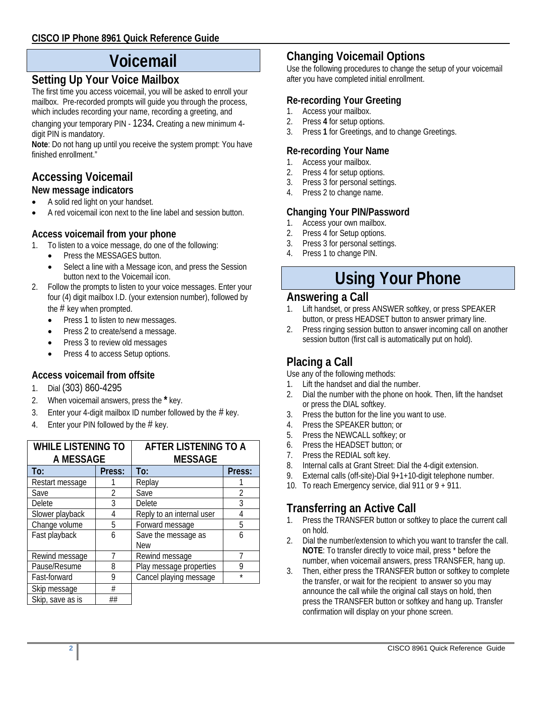# **Voicemail**

# **Setting Up Your Voice Mailbox**

The first time you access voicemail, you will be asked to enroll your mailbox. Pre-recorded prompts will guide you through the process, which includes recording your name, recording a greeting, and

changing your temporary PIN - 1234**.** Creating a new minimum 4 digit PIN is mandatory.

**Note**: Do not hang up until you receive the system prompt: You have finished enrollment."

# **Accessing Voicemail**

- **New message indicators**
- A solid red light on your handset.
- A red voicemail icon next to the line label and session button.

### **Access voicemail from your phone**

- 1. To listen to a voice message, do one of the following:
	- Press the MESSAGES button.
	- Select a line with a Message icon, and press the Session button next to the Voicemail icon.
- 2. Follow the prompts to listen to your voice messages. Enter your four (4) digit mailbox I.D. (your extension number), followed by the  $#$  key when prompted.
	- Press 1 to listen to new messages.
	- Press 2 to create/send a message.
	- Press 3 to review old messages
	- Press 4 to access Setup options.

## **Access voicemail from offsite**

- 1. Dial (303) 860-4295
- 2. When voicemail answers, press the **\*** key.
- 3. Enter your 4-digit mailbox ID number followed by the  $#$  key.
- 4. Enter your PIN followed by the # key.

| <b>WHILE LISTENING TO</b><br>A MESSAGE |                | AFTER LISTENING TO A<br><b>MESSAGE</b> |                |
|----------------------------------------|----------------|----------------------------------------|----------------|
| To:                                    | Press:         | To:                                    | Press:         |
| Restart message                        |                | Replay                                 |                |
| Save                                   | $\mathfrak{D}$ | Save                                   | $\mathfrak{D}$ |
| Delete                                 | 3              | <b>Delete</b>                          | 3              |
| Slower playback                        | 4              | Reply to an internal user              | 4              |
| Change volume                          | 5              | Forward message                        | 5              |
| Fast playback                          | 6              | Save the message as<br><b>New</b>      | 6              |
| Rewind message                         |                | Rewind message                         |                |
| Pause/Resume                           | 8              | Play message properties                | 9              |
| Fast-forward                           | 9              | Cancel playing message                 | $\star$        |
| Skip message                           | #              |                                        |                |
| Skip, save as is                       | ##             |                                        |                |

# **Changing Voicemail Options**

Use the following procedures to change the setup of your voicemail after you have completed initial enrollment.

## **Re-recording Your Greeting**

- 1. Access your mailbox.
- 2. Press **4** for setup options.
- 3. Press **1** for Greetings, and to change Greetings.

### **Re-recording Your Name**

- 1. Access your mailbox.
- 2. Press 4 for setup options.
- 3. Press 3 for personal settings.
- 4. Press 2 to change name.

### **Changing Your PIN/Password**

- 1. Access your own mailbox.
- 2. Press 4 for Setup options.
- 3. Press 3 for personal settings.
- 4. Press 1 to change PIN.

# **Using Your Phone**

### **Answering a Call**

- 1. Lift handset, or press ANSWER softkey, or press SPEAKER button, or press HEADSET button to answer primary line.
- 2. Press ringing session button to answer incoming call on another session button (first call is automatically put on hold).

# **Placing a Call**

Use any of the following methods:

- 1. Lift the handset and dial the number.
- 2. Dial the number with the phone on hook. Then, lift the handset or press the DIAL softkey.
- 3. Press the button for the line you want to use.
- 4. Press the SPEAKER button; or
- 5. Press the NEWCALL softkey; or
- 6. Press the HEADSET button; or
- 7. Press the REDIAL soft key.
- 8. Internal calls at Grant Street: Dial the 4-digit extension.
- 9. External calls (off-site)-Dial 9+1+10-digit telephone number.
- 10. To reach Emergency service, dial 911 or 9 + 911.

# **Transferring an Active Call**

- 1. Press the TRANSFER button or softkey to place the current call on hold.
- 2. Dial the number/extension to which you want to transfer the call. **NOTE**: To transfer directly to voice mail, press \* before the number, when voicemail answers, press TRANSFER, hang up.
- 3. Then, either press the TRANSFER button or softkey to complete the transfer, or wait for the recipient to answer so you may announce the call while the original call stays on hold, then press the TRANSFER button or softkey and hang up. Transfer confirmation will display on your phone screen.